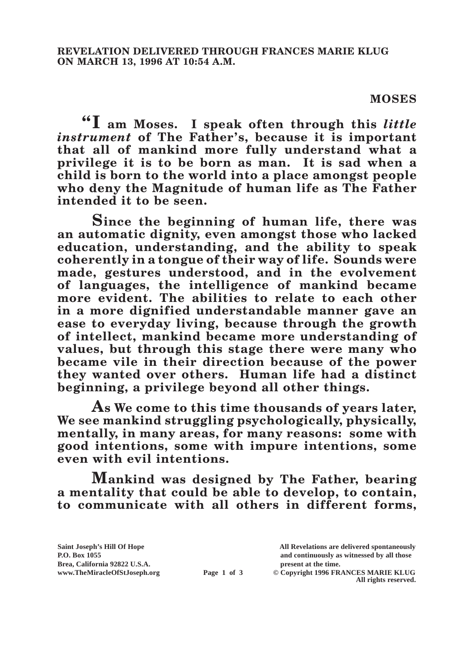## **MOSES**

**"I am Moses. I speak often through this** *little instrument* **of The Father's, because it is important that all of mankind more fully understand what a privilege it is to be born as man. It is sad when a child is born to the world into a place amongst people who deny the Magnitude of human life as The Father intended it to be seen.**

**Since the beginning of human life, there was an automatic dignity, even amongst those who lacked education, understanding, and the ability to speak coherently in a tongue of their way of life. Sounds were made, gestures understood, and in the evolvement of languages, the intelligence of mankind became more evident. The abilities to relate to each other in a more dignified understandable manner gave an ease to everyday living, because through the growth of intellect, mankind became more understanding of values, but through this stage there were many who became vile in their direction because of the power they wanted over others. Human life had a distinct beginning, a privilege beyond all other things.**

**As We come to this time thousands of years later, We see mankind struggling psychologically, physically, mentally, in many areas, for many reasons: some with good intentions, some with impure intentions, some even with evil intentions.**

**Mankind was designed by The Father, bearing a mentality that could be able to develop, to contain, to communicate with all others in different forms,** 

**Saint Joseph's Hill Of Hope All Revelations are delivered spontaneously Brea, California 92822 U.S.A. present at the time.**<br> **present at the time.**<br> **present at the time.**<br> **Page 1 of 3** © Copyright 1996 FR.

**P.O. Box 1055 and continuously as witnessed by all those Page 1 of 3** © Copyright 1996 FRANCES MARIE KLUG

**All rights reserved.**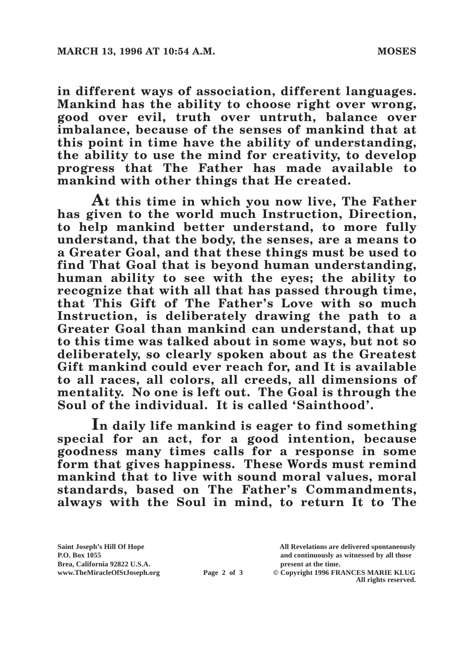**in different ways of association, different languages. Mankind has the ability to choose right over wrong, good over evil, truth over untruth, balance over imbalance, because of the senses of mankind that at this point in time have the ability of understanding, the ability to use the mind for creativity, to develop progress that The Father has made available to mankind with other things that He created.**

**At this time in which you now live, The Father has given to the world much Instruction, Direction, to help mankind better understand, to more fully understand, that the body, the senses, are a means to a Greater Goal, and that these things must be used to find That Goal that is beyond human understanding, human ability to see with the eyes; the ability to recognize that with all that has passed through time, that This Gift of The Father's Love with so much Instruction, is deliberately drawing the path to a Greater Goal than mankind can understand, that up to this time was talked about in some ways, but not so deliberately, so clearly spoken about as the Greatest Gift mankind could ever reach for, and It is available to all races, all colors, all creeds, all dimensions of mentality. No one is left out. The Goal is through the Soul of the individual. It is called 'Sainthood'.**

**In daily life mankind is eager to find something special for an act, for a good intention, because goodness many times calls for a response in some form that gives happiness. These Words must remind mankind that to live with sound moral values, moral standards, based on The Father's Commandments, always with the Soul in mind, to return It to The** 

**Brea, California 92822 U.S.A. present at the time.**<br> **Page 2 of 3** © Copyright 1996 FR.

**Saint Joseph's Hill Of Hope All Revelations are delivered spontaneously P.O. Box 1055 and continuously as witnessed by all those** 

**Page 2 of 3** © Copyright 1996 FRANCES MARIE KLUG **All rights reserved.**